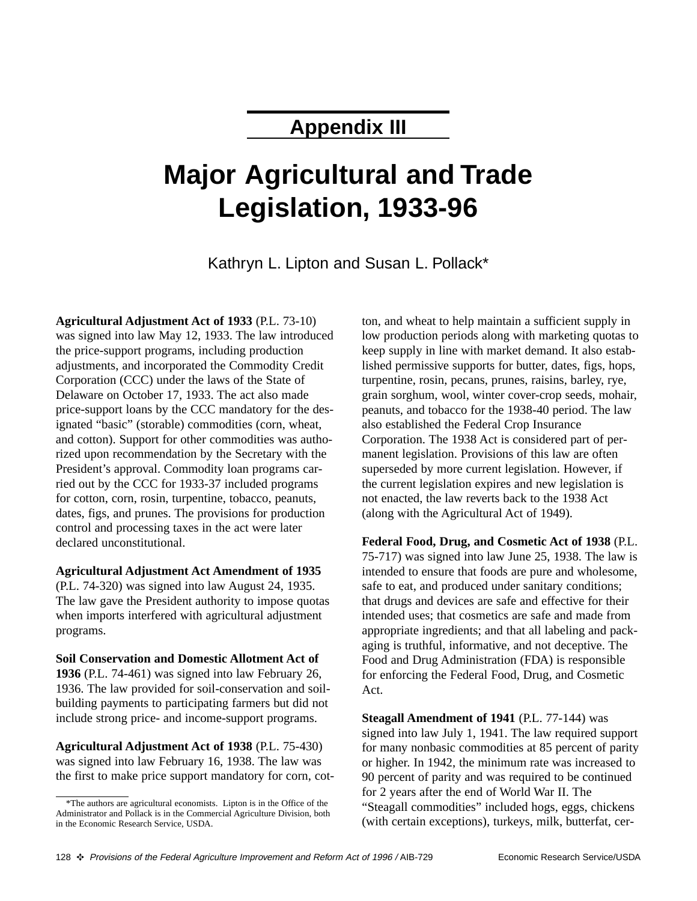## **Appendix III**

# **Major Agricultural and Trade Legislation, 1933-96**

Kathryn L. Lipton and Susan L. Pollack\*

**Agricultural Adjustment Act of 1933** (P.L. 73-10) was signed into law May 12, 1933. The law introduced the price-support programs, including production adjustments, and incorporated the Commodity Credit Corporation (CCC) under the laws of the State of Delaware on October 17, 1933. The act also made price-support loans by the CCC mandatory for the designated "basic" (storable) commodities (corn, wheat, and cotton). Support for other commodities was authorized upon recommendation by the Secretary with the President's approval. Commodity loan programs carried out by the CCC for 1933-37 included programs for cotton, corn, rosin, turpentine, tobacco, peanuts, dates, figs, and prunes. The provisions for production control and processing taxes in the act were later declared unconstitutional.

#### **Agricultural Adjustment Act Amendment of 1935**

(P.L. 74-320) was signed into law August 24, 1935. The law gave the President authority to impose quotas when imports interfered with agricultural adjustment programs.

**Soil Conservation and Domestic Allotment Act of 1936** (P.L. 74-461) was signed into law February 26, 1936. The law provided for soil-conservation and soilbuilding payments to participating farmers but did not include strong price- and income-support programs.

**Agricultural Adjustment Act of 1938** (P.L. 75-430) was signed into law February 16, 1938. The law was the first to make price support mandatory for corn, cot-

ton, and wheat to help maintain a sufficient supply in low production periods along with marketing quotas to keep supply in line with market demand. It also established permissive supports for butter, dates, figs, hops, turpentine, rosin, pecans, prunes, raisins, barley, rye, grain sorghum, wool, winter cover-crop seeds, mohair, peanuts, and tobacco for the 1938-40 period. The law also established the Federal Crop Insurance Corporation. The 1938 Act is considered part of permanent legislation. Provisions of this law are often superseded by more current legislation. However, if the current legislation expires and new legislation is not enacted, the law reverts back to the 1938 Act (along with the Agricultural Act of 1949).

**Federal Food, Drug, and Cosmetic Act of 1938** (P.L. 75-717) was signed into law June 25, 1938. The law is intended to ensure that foods are pure and wholesome, safe to eat, and produced under sanitary conditions; that drugs and devices are safe and effective for their intended uses; that cosmetics are safe and made from appropriate ingredients; and that all labeling and packaging is truthful, informative, and not deceptive. The Food and Drug Administration (FDA) is responsible for enforcing the Federal Food, Drug, and Cosmetic Act.

**Steagall Amendment of 1941** (P.L. 77-144) was signed into law July 1, 1941. The law required support for many nonbasic commodities at 85 percent of parity or higher. In 1942, the minimum rate was increased to 90 percent of parity and was required to be continued for 2 years after the end of World War II. The "Steagall commodities" included hogs, eggs, chickens (with certain exceptions), turkeys, milk, butterfat, cer-

<sup>\*</sup>The authors are agricultural economists. Lipton is in the Office of the Administrator and Pollack is in the Commercial Agriculture Division, both in the Economic Research Service, USDA.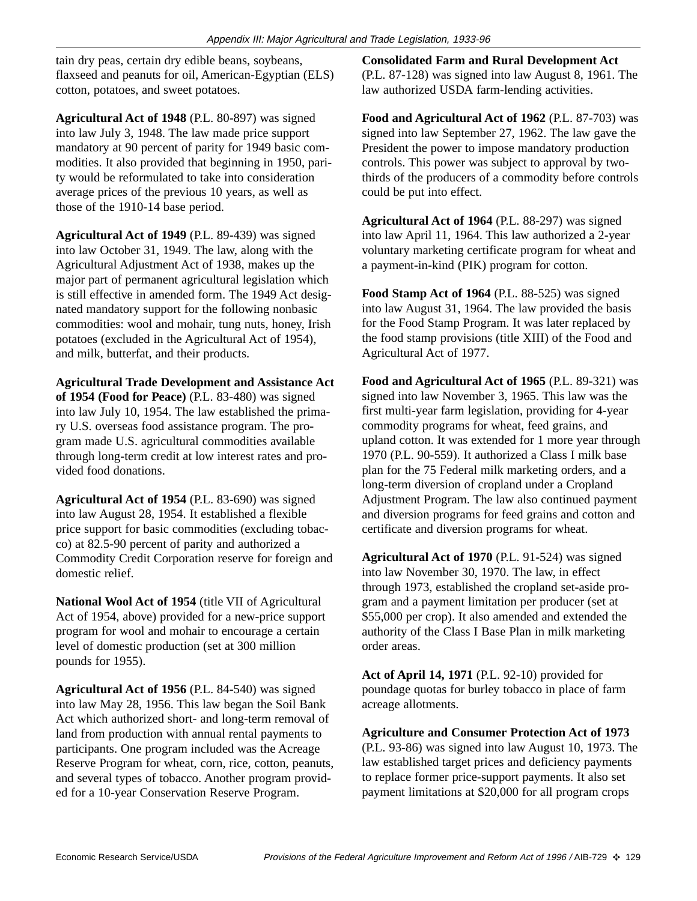tain dry peas, certain dry edible beans, soybeans, flaxseed and peanuts for oil, American-Egyptian (ELS) cotton, potatoes, and sweet potatoes.

**Agricultural Act of 1948** (P.L. 80-897) was signed into law July 3, 1948. The law made price support mandatory at 90 percent of parity for 1949 basic commodities. It also provided that beginning in 1950, parity would be reformulated to take into consideration average prices of the previous 10 years, as well as those of the 1910-14 base period.

**Agricultural Act of 1949** (P.L. 89-439) was signed into law October 31, 1949. The law, along with the Agricultural Adjustment Act of 1938, makes up the major part of permanent agricultural legislation which is still effective in amended form. The 1949 Act designated mandatory support for the following nonbasic commodities: wool and mohair, tung nuts, honey, Irish potatoes (excluded in the Agricultural Act of 1954), and milk, butterfat, and their products.

**Agricultural Trade Development and Assistance Act of 1954 (Food for Peace)** (P.L. 83-480) was signed into law July 10, 1954. The law established the primary U.S. overseas food assistance program. The program made U.S. agricultural commodities available through long-term credit at low interest rates and provided food donations.

**Agricultural Act of 1954** (P.L. 83-690) was signed into law August 28, 1954. It established a flexible price support for basic commodities (excluding tobacco) at 82.5-90 percent of parity and authorized a Commodity Credit Corporation reserve for foreign and domestic relief.

**National Wool Act of 1954** (title VII of Agricultural Act of 1954, above) provided for a new-price support program for wool and mohair to encourage a certain level of domestic production (set at 300 million pounds for 1955).

**Agricultural Act of 1956** (P.L. 84-540) was signed into law May 28, 1956. This law began the Soil Bank Act which authorized short- and long-term removal of land from production with annual rental payments to participants. One program included was the Acreage Reserve Program for wheat, corn, rice, cotton, peanuts, and several types of tobacco. Another program provided for a 10-year Conservation Reserve Program.

**Consolidated Farm and Rural Development Act** (P.L. 87-128) was signed into law August 8, 1961. The law authorized USDA farm-lending activities.

**Food and Agricultural Act of 1962** (P.L. 87-703) was signed into law September 27, 1962. The law gave the President the power to impose mandatory production controls. This power was subject to approval by twothirds of the producers of a commodity before controls could be put into effect.

**Agricultural Act of 1964** (P.L. 88-297) was signed into law April 11, 1964. This law authorized a 2-year voluntary marketing certificate program for wheat and a payment-in-kind (PIK) program for cotton.

**Food Stamp Act of 1964** (P.L. 88-525) was signed into law August 31, 1964. The law provided the basis for the Food Stamp Program. It was later replaced by the food stamp provisions (title XIII) of the Food and Agricultural Act of 1977.

**Food and Agricultural Act of 1965** (P.L. 89-321) was signed into law November 3, 1965. This law was the first multi-year farm legislation, providing for 4-year commodity programs for wheat, feed grains, and upland cotton. It was extended for 1 more year through 1970 (P.L. 90-559). It authorized a Class I milk base plan for the 75 Federal milk marketing orders, and a long-term diversion of cropland under a Cropland Adjustment Program. The law also continued payment and diversion programs for feed grains and cotton and certificate and diversion programs for wheat.

**Agricultural Act of 1970** (P.L. 91-524) was signed into law November 30, 1970. The law, in effect through 1973, established the cropland set-aside program and a payment limitation per producer (set at \$55,000 per crop). It also amended and extended the authority of the Class I Base Plan in milk marketing order areas.

**Act of April 14, 1971** (P.L. 92-10) provided for poundage quotas for burley tobacco in place of farm acreage allotments.

**Agriculture and Consumer Protection Act of 1973** (P.L. 93-86) was signed into law August 10, 1973. The law established target prices and deficiency payments to replace former price-support payments. It also set payment limitations at \$20,000 for all program crops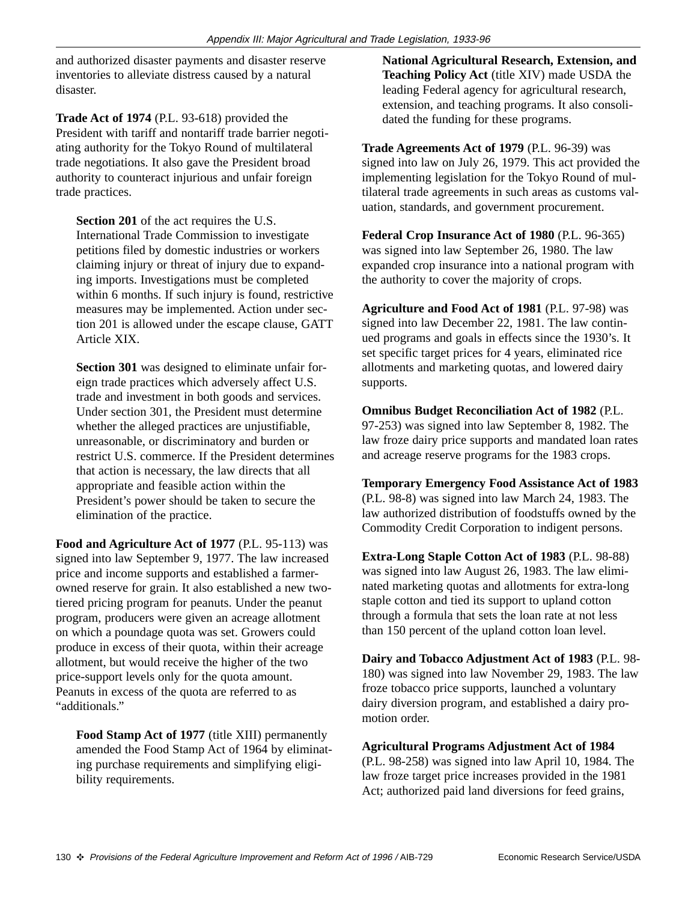and authorized disaster payments and disaster reserve inventories to alleviate distress caused by a natural disaster.

**Trade Act of 1974** (P.L. 93-618) provided the President with tariff and nontariff trade barrier negotiating authority for the Tokyo Round of multilateral trade negotiations. It also gave the President broad authority to counteract injurious and unfair foreign trade practices.

**Section 201** of the act requires the U.S. International Trade Commission to investigate petitions filed by domestic industries or workers claiming injury or threat of injury due to expanding imports. Investigations must be completed within 6 months. If such injury is found, restrictive measures may be implemented. Action under section 201 is allowed under the escape clause, GATT Article XIX.

**Section 301** was designed to eliminate unfair foreign trade practices which adversely affect U.S. trade and investment in both goods and services. Under section 301, the President must determine whether the alleged practices are unjustifiable, unreasonable, or discriminatory and burden or restrict U.S. commerce. If the President determines that action is necessary, the law directs that all appropriate and feasible action within the President's power should be taken to secure the elimination of the practice.

**Food and Agriculture Act of 1977** (P.L. 95-113) was signed into law September 9, 1977. The law increased price and income supports and established a farmerowned reserve for grain. It also established a new twotiered pricing program for peanuts. Under the peanut program, producers were given an acreage allotment on which a poundage quota was set. Growers could produce in excess of their quota, within their acreage allotment, but would receive the higher of the two price-support levels only for the quota amount. Peanuts in excess of the quota are referred to as "additionals."

Food Stamp Act of 1977 (title XIII) permanently amended the Food Stamp Act of 1964 by eliminating purchase requirements and simplifying eligibility requirements.

**National Agricultural Research, Extension, and Teaching Policy Act** (title XIV) made USDA the leading Federal agency for agricultural research, extension, and teaching programs. It also consolidated the funding for these programs.

**Trade Agreements Act of 1979** (P.L. 96-39) was signed into law on July 26, 1979. This act provided the implementing legislation for the Tokyo Round of multilateral trade agreements in such areas as customs valuation, standards, and government procurement.

**Federal Crop Insurance Act of 1980** (P.L. 96-365) was signed into law September 26, 1980. The law expanded crop insurance into a national program with the authority to cover the majority of crops.

**Agriculture and Food Act of 1981** (P.L. 97-98) was signed into law December 22, 1981. The law continued programs and goals in effects since the 1930's. It set specific target prices for 4 years, eliminated rice allotments and marketing quotas, and lowered dairy supports.

**Omnibus Budget Reconciliation Act of 1982** (P.L. 97-253) was signed into law September 8, 1982. The law froze dairy price supports and mandated loan rates and acreage reserve programs for the 1983 crops.

**Temporary Emergency Food Assistance Act of 1983** (P.L. 98-8) was signed into law March 24, 1983. The law authorized distribution of foodstuffs owned by the Commodity Credit Corporation to indigent persons.

**Extra-Long Staple Cotton Act of 1983** (P.L. 98-88) was signed into law August 26, 1983. The law eliminated marketing quotas and allotments for extra-long staple cotton and tied its support to upland cotton through a formula that sets the loan rate at not less than 150 percent of the upland cotton loan level.

**Dairy and Tobacco Adjustment Act of 1983** (P.L. 98- 180) was signed into law November 29, 1983. The law froze tobacco price supports, launched a voluntary dairy diversion program, and established a dairy promotion order.

**Agricultural Programs Adjustment Act of 1984**

(P.L. 98-258) was signed into law April 10, 1984. The law froze target price increases provided in the 1981 Act; authorized paid land diversions for feed grains,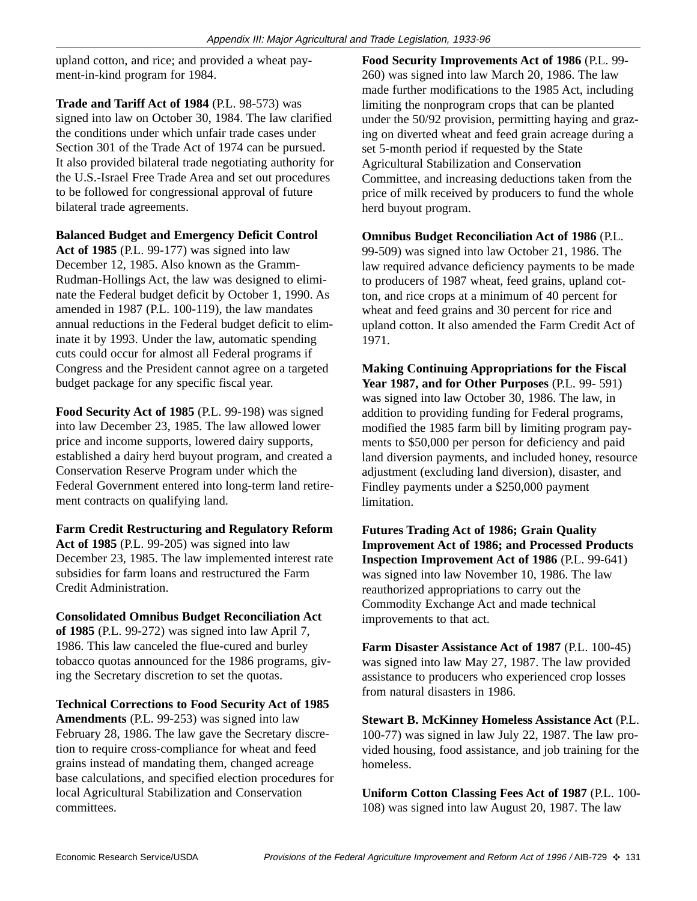upland cotton, and rice; and provided a wheat payment-in-kind program for 1984.

**Trade and Tariff Act of 1984** (P.L. 98-573) was signed into law on October 30, 1984. The law clarified the conditions under which unfair trade cases under Section 301 of the Trade Act of 1974 can be pursued. It also provided bilateral trade negotiating authority for the U.S.-Israel Free Trade Area and set out procedures to be followed for congressional approval of future bilateral trade agreements.

#### **Balanced Budget and Emergency Deficit Control**

**Act of 1985** (P.L. 99-177) was signed into law December 12, 1985. Also known as the Gramm-Rudman-Hollings Act, the law was designed to eliminate the Federal budget deficit by October 1, 1990. As amended in 1987 (P.L. 100-119), the law mandates annual reductions in the Federal budget deficit to eliminate it by 1993. Under the law, automatic spending cuts could occur for almost all Federal programs if Congress and the President cannot agree on a targeted budget package for any specific fiscal year.

**Food Security Act of 1985** (P.L. 99-198) was signed into law December 23, 1985. The law allowed lower price and income supports, lowered dairy supports, established a dairy herd buyout program, and created a Conservation Reserve Program under which the Federal Government entered into long-term land retirement contracts on qualifying land.

**Farm Credit Restructuring and Regulatory Reform Act of 1985** (P.L. 99-205) was signed into law December 23, 1985. The law implemented interest rate subsidies for farm loans and restructured the Farm Credit Administration.

#### **Consolidated Omnibus Budget Reconciliation Act**

**of 1985** (P.L. 99-272) was signed into law April 7, 1986. This law canceled the flue-cured and burley tobacco quotas announced for the 1986 programs, giving the Secretary discretion to set the quotas.

**Technical Corrections to Food Security Act of 1985 Amendments** (P.L. 99-253) was signed into law February 28, 1986. The law gave the Secretary discretion to require cross-compliance for wheat and feed grains instead of mandating them, changed acreage base calculations, and specified election procedures for local Agricultural Stabilization and Conservation committees.

**Food Security Improvements Act of 1986** (P.L. 99- 260) was signed into law March 20, 1986. The law made further modifications to the 1985 Act, including limiting the nonprogram crops that can be planted under the 50/92 provision, permitting haying and grazing on diverted wheat and feed grain acreage during a set 5-month period if requested by the State Agricultural Stabilization and Conservation Committee, and increasing deductions taken from the price of milk received by producers to fund the whole herd buyout program.

**Omnibus Budget Reconciliation Act of 1986** (P.L. 99-509) was signed into law October 21, 1986. The law required advance deficiency payments to be made to producers of 1987 wheat, feed grains, upland cotton, and rice crops at a minimum of 40 percent for wheat and feed grains and 30 percent for rice and upland cotton. It also amended the Farm Credit Act of 1971.

**Making Continuing Appropriations for the Fiscal Year 1987, and for Other Purposes** (P.L. 99- 591) was signed into law October 30, 1986. The law, in addition to providing funding for Federal programs, modified the 1985 farm bill by limiting program payments to \$50,000 per person for deficiency and paid land diversion payments, and included honey, resource adjustment (excluding land diversion), disaster, and Findley payments under a \$250,000 payment limitation.

**Futures Trading Act of 1986; Grain Quality Improvement Act of 1986; and Processed Products Inspection Improvement Act of 1986** (P.L. 99-641) was signed into law November 10, 1986. The law reauthorized appropriations to carry out the Commodity Exchange Act and made technical improvements to that act.

**Farm Disaster Assistance Act of 1987** (P.L. 100-45) was signed into law May 27, 1987. The law provided assistance to producers who experienced crop losses from natural disasters in 1986.

**Stewart B. McKinney Homeless Assistance Act** (P.L. 100-77) was signed in law July 22, 1987. The law provided housing, food assistance, and job training for the homeless.

**Uniform Cotton Classing Fees Act of 1987** (P.L. 100- 108) was signed into law August 20, 1987. The law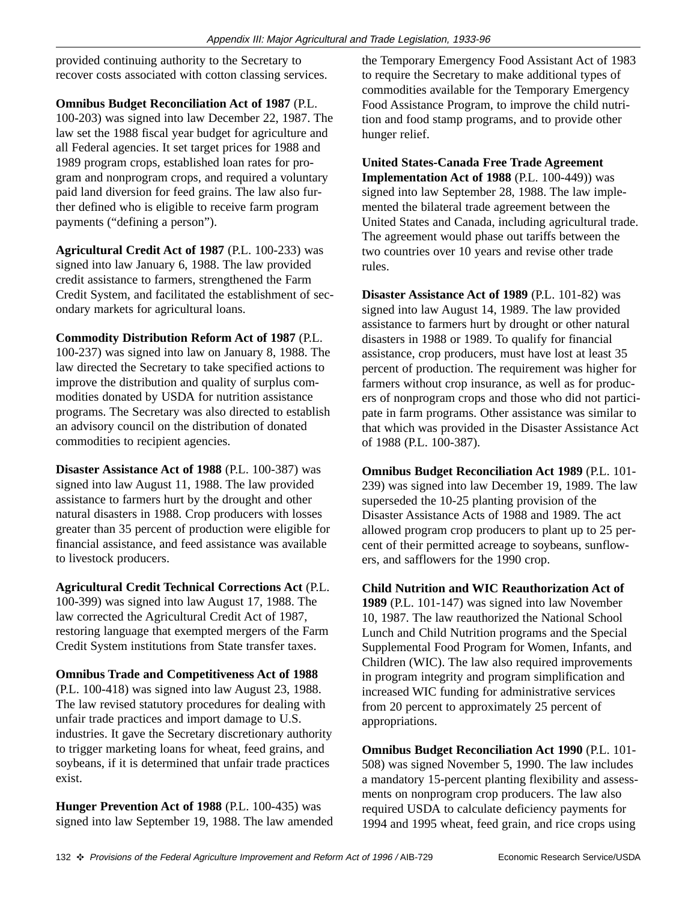provided continuing authority to the Secretary to recover costs associated with cotton classing services.

**Omnibus Budget Reconciliation Act of 1987** (P.L. 100-203) was signed into law December 22, 1987. The law set the 1988 fiscal year budget for agriculture and all Federal agencies. It set target prices for 1988 and 1989 program crops, established loan rates for program and nonprogram crops, and required a voluntary paid land diversion for feed grains. The law also further defined who is eligible to receive farm program payments ("defining a person").

**Agricultural Credit Act of 1987** (P.L. 100-233) was signed into law January 6, 1988. The law provided credit assistance to farmers, strengthened the Farm Credit System, and facilitated the establishment of secondary markets for agricultural loans.

**Commodity Distribution Reform Act of 1987** (P.L. 100-237) was signed into law on January 8, 1988. The law directed the Secretary to take specified actions to improve the distribution and quality of surplus commodities donated by USDA for nutrition assistance programs. The Secretary was also directed to establish an advisory council on the distribution of donated commodities to recipient agencies.

**Disaster Assistance Act of 1988** (P.L. 100-387) was signed into law August 11, 1988. The law provided assistance to farmers hurt by the drought and other natural disasters in 1988. Crop producers with losses greater than 35 percent of production were eligible for financial assistance, and feed assistance was available to livestock producers.

**Agricultural Credit Technical Corrections Act** (P.L. 100-399) was signed into law August 17, 1988. The law corrected the Agricultural Credit Act of 1987, restoring language that exempted mergers of the Farm Credit System institutions from State transfer taxes.

**Omnibus Trade and Competitiveness Act of 1988** (P.L. 100-418) was signed into law August 23, 1988. The law revised statutory procedures for dealing with unfair trade practices and import damage to U.S. industries. It gave the Secretary discretionary authority to trigger marketing loans for wheat, feed grains, and soybeans, if it is determined that unfair trade practices exist.

**Hunger Prevention Act of 1988** (P.L. 100-435) was signed into law September 19, 1988. The law amended the Temporary Emergency Food Assistant Act of 1983 to require the Secretary to make additional types of commodities available for the Temporary Emergency Food Assistance Program, to improve the child nutrition and food stamp programs, and to provide other hunger relief.

**United States-Canada Free Trade Agreement Implementation Act of 1988** (P.L. 100-449)) was signed into law September 28, 1988. The law implemented the bilateral trade agreement between the United States and Canada, including agricultural trade. The agreement would phase out tariffs between the two countries over 10 years and revise other trade rules.

**Disaster Assistance Act of 1989** (P.L. 101-82) was signed into law August 14, 1989. The law provided assistance to farmers hurt by drought or other natural disasters in 1988 or 1989. To qualify for financial assistance, crop producers, must have lost at least 35 percent of production. The requirement was higher for farmers without crop insurance, as well as for producers of nonprogram crops and those who did not participate in farm programs. Other assistance was similar to that which was provided in the Disaster Assistance Act of 1988 (P.L. 100-387).

**Omnibus Budget Reconciliation Act 1989** (P.L. 101- 239) was signed into law December 19, 1989. The law superseded the 10-25 planting provision of the Disaster Assistance Acts of 1988 and 1989. The act allowed program crop producers to plant up to 25 percent of their permitted acreage to soybeans, sunflowers, and safflowers for the 1990 crop.

**Child Nutrition and WIC Reauthorization Act of 1989** (P.L. 101-147) was signed into law November 10, 1987. The law reauthorized the National School Lunch and Child Nutrition programs and the Special Supplemental Food Program for Women, Infants, and Children (WIC). The law also required improvements in program integrity and program simplification and increased WIC funding for administrative services from 20 percent to approximately 25 percent of appropriations.

**Omnibus Budget Reconciliation Act 1990** (P.L. 101- 508) was signed November 5, 1990. The law includes a mandatory 15-percent planting flexibility and assessments on nonprogram crop producers. The law also required USDA to calculate deficiency payments for 1994 and 1995 wheat, feed grain, and rice crops using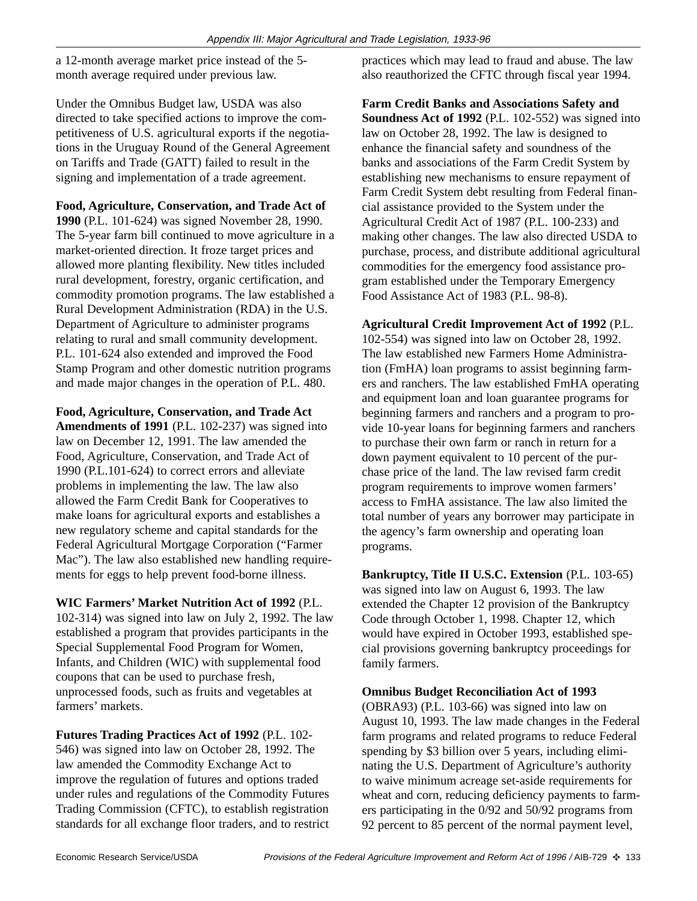a 12-month average market price instead of the 5 month average required under previous law.

Under the Omnibus Budget law, USDA was also directed to take specified actions to improve the competitiveness of U.S. agricultural exports if the negotiations in the Uruguay Round of the General Agreement on Tariffs and Trade (GATT) failed to result in the signing and implementation of a trade agreement.

#### **Food, Agriculture, Conservation, and Trade Act of**

**1990** (P.L. 101-624) was signed November 28, 1990. The 5-year farm bill continued to move agriculture in a market-oriented direction. It froze target prices and allowed more planting flexibility. New titles included rural development, forestry, organic certification, and commodity promotion programs. The law established a Rural Development Administration (RDA) in the U.S. Department of Agriculture to administer programs relating to rural and small community development. P.L. 101-624 also extended and improved the Food Stamp Program and other domestic nutrition programs and made major changes in the operation of P.L. 480.

#### **Food, Agriculture, Conservation, and Trade Act**

**Amendments of 1991** (P.L. 102-237) was signed into law on December 12, 1991. The law amended the Food, Agriculture, Conservation, and Trade Act of 1990 (P.L.101-624) to correct errors and alleviate problems in implementing the law. The law also allowed the Farm Credit Bank for Cooperatives to make loans for agricultural exports and establishes a new regulatory scheme and capital standards for the Federal Agricultural Mortgage Corporation ("Farmer Mac"). The law also established new handling requirements for eggs to help prevent food-borne illness.

**WIC Farmers' Market Nutrition Act of 1992** (P.L. 102-314) was signed into law on July 2, 1992. The law established a program that provides participants in the Special Supplemental Food Program for Women, Infants, and Children (WIC) with supplemental food coupons that can be used to purchase fresh, unprocessed foods, such as fruits and vegetables at farmers' markets.

**Futures Trading Practices Act of 1992** (P.L. 102- 546) was signed into law on October 28, 1992. The law amended the Commodity Exchange Act to improve the regulation of futures and options traded under rules and regulations of the Commodity Futures Trading Commission (CFTC), to establish registration standards for all exchange floor traders, and to restrict

practices which may lead to fraud and abuse. The law also reauthorized the CFTC through fiscal year 1994.

**Farm Credit Banks and Associations Safety and Soundness Act of 1992** (P.L. 102-552) was signed into law on October 28, 1992. The law is designed to enhance the financial safety and soundness of the banks and associations of the Farm Credit System by establishing new mechanisms to ensure repayment of Farm Credit System debt resulting from Federal financial assistance provided to the System under the Agricultural Credit Act of 1987 (P.L. 100-233) and making other changes. The law also directed USDA to purchase, process, and distribute additional agricultural commodities for the emergency food assistance program established under the Temporary Emergency Food Assistance Act of 1983 (P.L. 98-8).

#### **Agricultural Credit Improvement Act of 1992** (P.L.

102-554) was signed into law on October 28, 1992. The law established new Farmers Home Administration (FmHA) loan programs to assist beginning farmers and ranchers. The law established FmHA operating and equipment loan and loan guarantee programs for beginning farmers and ranchers and a program to provide 10-year loans for beginning farmers and ranchers to purchase their own farm or ranch in return for a down payment equivalent to 10 percent of the purchase price of the land. The law revised farm credit program requirements to improve women farmers' access to FmHA assistance. The law also limited the total number of years any borrower may participate in the agency's farm ownership and operating loan programs.

**Bankruptcy, Title II U.S.C. Extension** (P.L. 103-65) was signed into law on August 6, 1993. The law extended the Chapter 12 provision of the Bankruptcy Code through October 1, 1998. Chapter 12, which would have expired in October 1993, established special provisions governing bankruptcy proceedings for family farmers.

#### **Omnibus Budget Reconciliation Act of 1993**

(OBRA93) (P.L. 103-66) was signed into law on August 10, 1993. The law made changes in the Federal farm programs and related programs to reduce Federal spending by \$3 billion over 5 years, including eliminating the U.S. Department of Agriculture's authority to waive minimum acreage set-aside requirements for wheat and corn, reducing deficiency payments to farmers participating in the 0/92 and 50/92 programs from 92 percent to 85 percent of the normal payment level,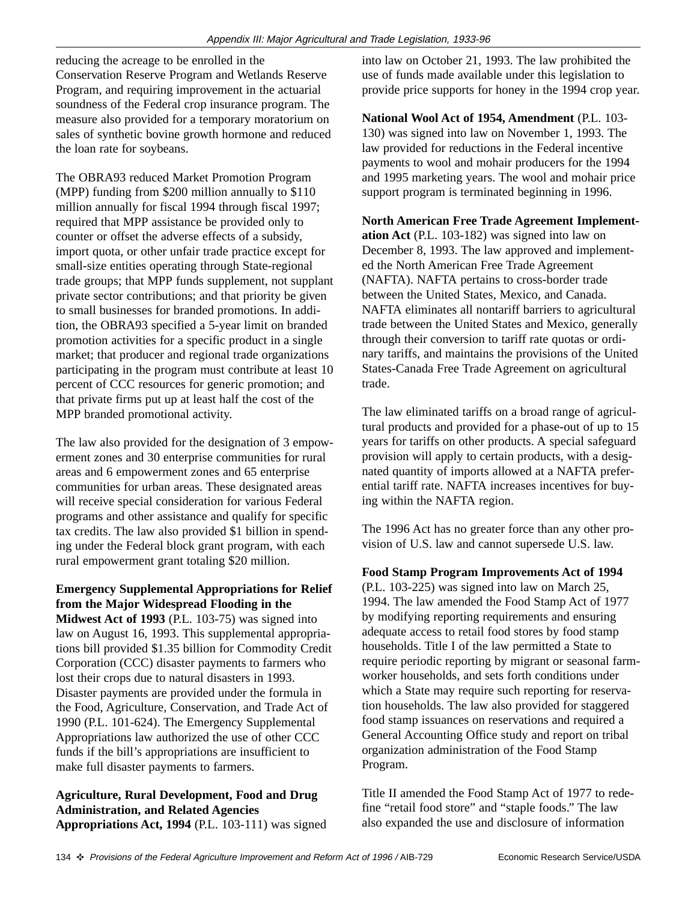reducing the acreage to be enrolled in the Conservation Reserve Program and Wetlands Reserve Program, and requiring improvement in the actuarial soundness of the Federal crop insurance program. The measure also provided for a temporary moratorium on sales of synthetic bovine growth hormone and reduced the loan rate for soybeans.

The OBRA93 reduced Market Promotion Program (MPP) funding from \$200 million annually to \$110 million annually for fiscal 1994 through fiscal 1997; required that MPP assistance be provided only to counter or offset the adverse effects of a subsidy, import quota, or other unfair trade practice except for small-size entities operating through State-regional trade groups; that MPP funds supplement, not supplant private sector contributions; and that priority be given to small businesses for branded promotions. In addition, the OBRA93 specified a 5-year limit on branded promotion activities for a specific product in a single market; that producer and regional trade organizations participating in the program must contribute at least 10 percent of CCC resources for generic promotion; and that private firms put up at least half the cost of the MPP branded promotional activity.

The law also provided for the designation of 3 empowerment zones and 30 enterprise communities for rural areas and 6 empowerment zones and 65 enterprise communities for urban areas. These designated areas will receive special consideration for various Federal programs and other assistance and qualify for specific tax credits. The law also provided \$1 billion in spending under the Federal block grant program, with each rural empowerment grant totaling \$20 million.

### **Emergency Supplemental Appropriations for Relief from the Major Widespread Flooding in the**

**Midwest Act of 1993** (P.L. 103-75) was signed into law on August 16, 1993. This supplemental appropriations bill provided \$1.35 billion for Commodity Credit Corporation (CCC) disaster payments to farmers who lost their crops due to natural disasters in 1993. Disaster payments are provided under the formula in the Food, Agriculture, Conservation, and Trade Act of 1990 (P.L. 101-624). The Emergency Supplemental Appropriations law authorized the use of other CCC funds if the bill's appropriations are insufficient to make full disaster payments to farmers.

#### **Agriculture, Rural Development, Food and Drug Administration, and Related Agencies Appropriations Act, 1994** (P.L. 103-111) was signed

into law on October 21, 1993. The law prohibited the use of funds made available under this legislation to provide price supports for honey in the 1994 crop year.

**National Wool Act of 1954, Amendment** (P.L. 103- 130) was signed into law on November 1, 1993. The law provided for reductions in the Federal incentive payments to wool and mohair producers for the 1994 and 1995 marketing years. The wool and mohair price support program is terminated beginning in 1996.

#### **North American Free Trade Agreement Implement-**

**ation Act** (P.L. 103-182) was signed into law on December 8, 1993. The law approved and implemented the North American Free Trade Agreement (NAFTA). NAFTA pertains to cross-border trade between the United States, Mexico, and Canada. NAFTA eliminates all nontariff barriers to agricultural trade between the United States and Mexico, generally through their conversion to tariff rate quotas or ordinary tariffs, and maintains the provisions of the United States-Canada Free Trade Agreement on agricultural trade.

The law eliminated tariffs on a broad range of agricultural products and provided for a phase-out of up to 15 years for tariffs on other products. A special safeguard provision will apply to certain products, with a designated quantity of imports allowed at a NAFTA preferential tariff rate. NAFTA increases incentives for buying within the NAFTA region.

The 1996 Act has no greater force than any other provision of U.S. law and cannot supersede U.S. law.

#### **Food Stamp Program Improvements Act of 1994**

(P.L. 103-225) was signed into law on March 25, 1994. The law amended the Food Stamp Act of 1977 by modifying reporting requirements and ensuring adequate access to retail food stores by food stamp households. Title I of the law permitted a State to require periodic reporting by migrant or seasonal farmworker households, and sets forth conditions under which a State may require such reporting for reservation households. The law also provided for staggered food stamp issuances on reservations and required a General Accounting Office study and report on tribal organization administration of the Food Stamp Program.

Title II amended the Food Stamp Act of 1977 to redefine "retail food store" and "staple foods." The law also expanded the use and disclosure of information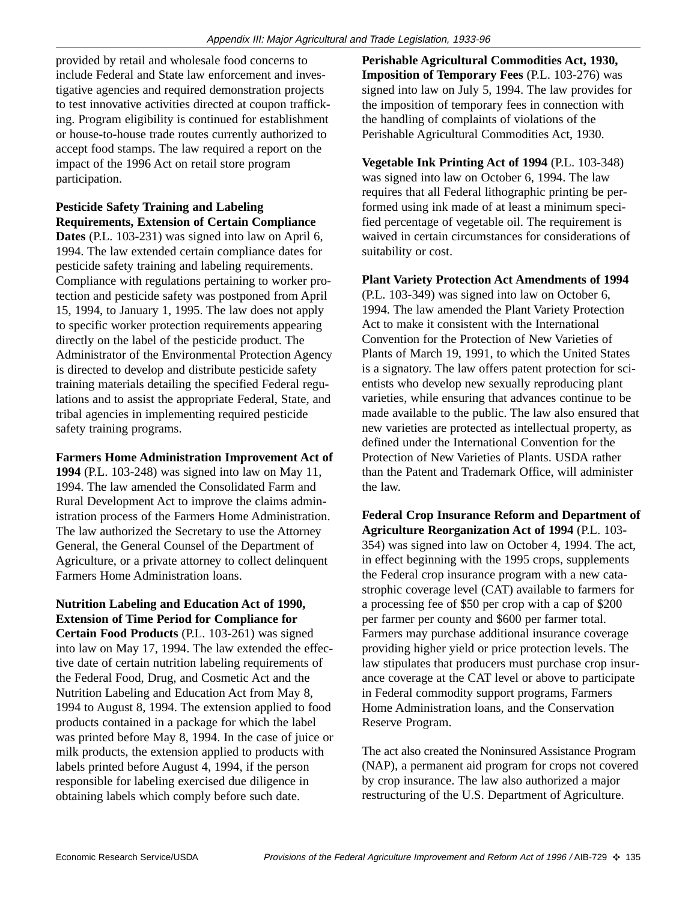provided by retail and wholesale food concerns to include Federal and State law enforcement and investigative agencies and required demonstration projects to test innovative activities directed at coupon trafficking. Program eligibility is continued for establishment or house-to-house trade routes currently authorized to accept food stamps. The law required a report on the impact of the 1996 Act on retail store program participation.

**Pesticide Safety Training and Labeling Requirements, Extension of Certain Compliance**

**Dates** (P.L. 103-231) was signed into law on April 6, 1994. The law extended certain compliance dates for pesticide safety training and labeling requirements. Compliance with regulations pertaining to worker protection and pesticide safety was postponed from April 15, 1994, to January 1, 1995. The law does not apply to specific worker protection requirements appearing directly on the label of the pesticide product. The Administrator of the Environmental Protection Agency is directed to develop and distribute pesticide safety training materials detailing the specified Federal regulations and to assist the appropriate Federal, State, and tribal agencies in implementing required pesticide safety training programs.

**Farmers Home Administration Improvement Act of 1994** (P.L. 103-248) was signed into law on May 11, 1994. The law amended the Consolidated Farm and Rural Development Act to improve the claims administration process of the Farmers Home Administration. The law authorized the Secretary to use the Attorney General, the General Counsel of the Department of Agriculture, or a private attorney to collect delinquent Farmers Home Administration loans.

**Nutrition Labeling and Education Act of 1990, Extension of Time Period for Compliance for Certain Food Products** (P.L. 103-261) was signed into law on May 17, 1994. The law extended the effective date of certain nutrition labeling requirements of the Federal Food, Drug, and Cosmetic Act and the Nutrition Labeling and Education Act from May 8, 1994 to August 8, 1994. The extension applied to food products contained in a package for which the label was printed before May 8, 1994. In the case of juice or milk products, the extension applied to products with labels printed before August 4, 1994, if the person responsible for labeling exercised due diligence in obtaining labels which comply before such date.

**Perishable Agricultural Commodities Act, 1930, Imposition of Temporary Fees** (P.L. 103-276) was signed into law on July 5, 1994. The law provides for the imposition of temporary fees in connection with the handling of complaints of violations of the Perishable Agricultural Commodities Act, 1930.

**Vegetable Ink Printing Act of 1994** (P.L. 103-348) was signed into law on October 6, 1994. The law requires that all Federal lithographic printing be performed using ink made of at least a minimum specified percentage of vegetable oil. The requirement is waived in certain circumstances for considerations of suitability or cost.

**Plant Variety Protection Act Amendments of 1994** (P.L. 103-349) was signed into law on October 6, 1994. The law amended the Plant Variety Protection Act to make it consistent with the International Convention for the Protection of New Varieties of Plants of March 19, 1991, to which the United States is a signatory. The law offers patent protection for scientists who develop new sexually reproducing plant varieties, while ensuring that advances continue to be made available to the public. The law also ensured that new varieties are protected as intellectual property, as defined under the International Convention for the Protection of New Varieties of Plants. USDA rather than the Patent and Trademark Office, will administer the law.

**Federal Crop Insurance Reform and Department of Agriculture Reorganization Act of 1994** (P.L. 103- 354) was signed into law on October 4, 1994. The act, in effect beginning with the 1995 crops, supplements the Federal crop insurance program with a new catastrophic coverage level (CAT) available to farmers for a processing fee of \$50 per crop with a cap of \$200 per farmer per county and \$600 per farmer total. Farmers may purchase additional insurance coverage providing higher yield or price protection levels. The law stipulates that producers must purchase crop insurance coverage at the CAT level or above to participate in Federal commodity support programs, Farmers Home Administration loans, and the Conservation Reserve Program.

The act also created the Noninsured Assistance Program (NAP), a permanent aid program for crops not covered by crop insurance. The law also authorized a major restructuring of the U.S. Department of Agriculture.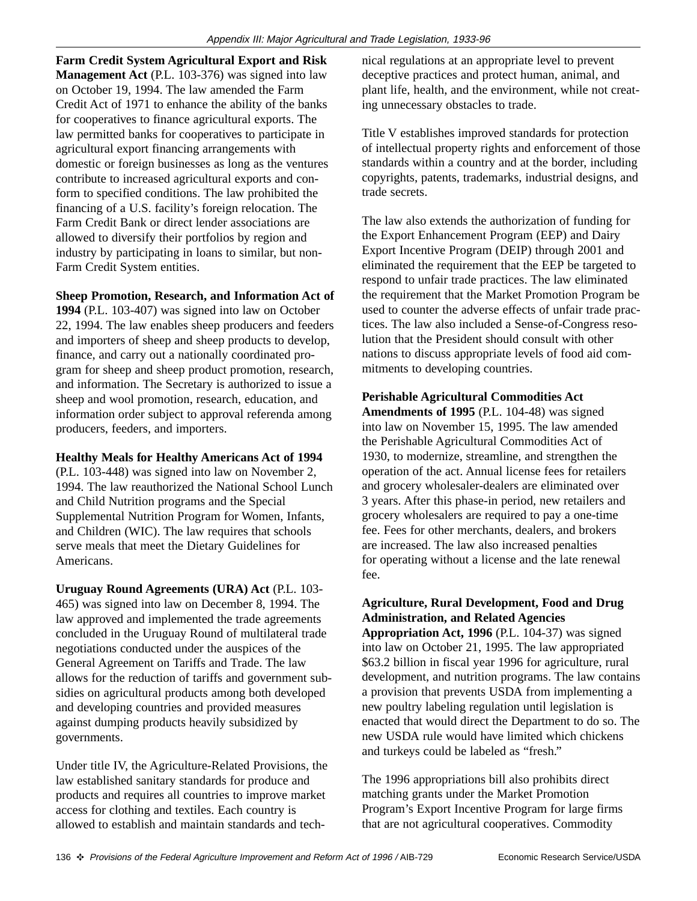**Farm Credit System Agricultural Export and Risk Management Act** (P.L. 103-376) was signed into law on October 19, 1994. The law amended the Farm Credit Act of 1971 to enhance the ability of the banks for cooperatives to finance agricultural exports. The law permitted banks for cooperatives to participate in agricultural export financing arrangements with domestic or foreign businesses as long as the ventures contribute to increased agricultural exports and conform to specified conditions. The law prohibited the financing of a U.S. facility's foreign relocation. The Farm Credit Bank or direct lender associations are allowed to diversify their portfolios by region and industry by participating in loans to similar, but non-Farm Credit System entities.

**Sheep Promotion, Research, and Information Act of**

**1994** (P.L. 103-407) was signed into law on October 22, 1994. The law enables sheep producers and feeders and importers of sheep and sheep products to develop, finance, and carry out a nationally coordinated program for sheep and sheep product promotion, research, and information. The Secretary is authorized to issue a sheep and wool promotion, research, education, and information order subject to approval referenda among producers, feeders, and importers.

**Healthy Meals for Healthy Americans Act of 1994**

(P.L. 103-448) was signed into law on November 2, 1994. The law reauthorized the National School Lunch and Child Nutrition programs and the Special Supplemental Nutrition Program for Women, Infants, and Children (WIC). The law requires that schools serve meals that meet the Dietary Guidelines for Americans.

**Uruguay Round Agreements (URA) Act** (P.L. 103- 465) was signed into law on December 8, 1994. The law approved and implemented the trade agreements concluded in the Uruguay Round of multilateral trade negotiations conducted under the auspices of the General Agreement on Tariffs and Trade. The law allows for the reduction of tariffs and government subsidies on agricultural products among both developed and developing countries and provided measures against dumping products heavily subsidized by governments.

Under title IV, the Agriculture-Related Provisions, the law established sanitary standards for produce and products and requires all countries to improve market access for clothing and textiles. Each country is allowed to establish and maintain standards and technical regulations at an appropriate level to prevent deceptive practices and protect human, animal, and plant life, health, and the environment, while not creating unnecessary obstacles to trade.

Title V establishes improved standards for protection of intellectual property rights and enforcement of those standards within a country and at the border, including copyrights, patents, trademarks, industrial designs, and trade secrets.

The law also extends the authorization of funding for the Export Enhancement Program (EEP) and Dairy Export Incentive Program (DEIP) through 2001 and eliminated the requirement that the EEP be targeted to respond to unfair trade practices. The law eliminated the requirement that the Market Promotion Program be used to counter the adverse effects of unfair trade practices. The law also included a Sense-of-Congress resolution that the President should consult with other nations to discuss appropriate levels of food aid commitments to developing countries.

**Perishable Agricultural Commodities Act**

**Amendments of 1995** (P.L. 104-48) was signed into law on November 15, 1995. The law amended the Perishable Agricultural Commodities Act of 1930, to modernize, streamline, and strengthen the operation of the act. Annual license fees for retailers and grocery wholesaler-dealers are eliminated over 3 years. After this phase-in period, new retailers and grocery wholesalers are required to pay a one-time fee. Fees for other merchants, dealers, and brokers are increased. The law also increased penalties for operating without a license and the late renewal fee.

#### **Agriculture, Rural Development, Food and Drug Administration, and Related Agencies**

**Appropriation Act, 1996** (P.L. 104-37) was signed into law on October 21, 1995. The law appropriated \$63.2 billion in fiscal year 1996 for agriculture, rural development, and nutrition programs. The law contains a provision that prevents USDA from implementing a new poultry labeling regulation until legislation is enacted that would direct the Department to do so. The new USDA rule would have limited which chickens and turkeys could be labeled as "fresh."

The 1996 appropriations bill also prohibits direct matching grants under the Market Promotion Program's Export Incentive Program for large firms that are not agricultural cooperatives. Commodity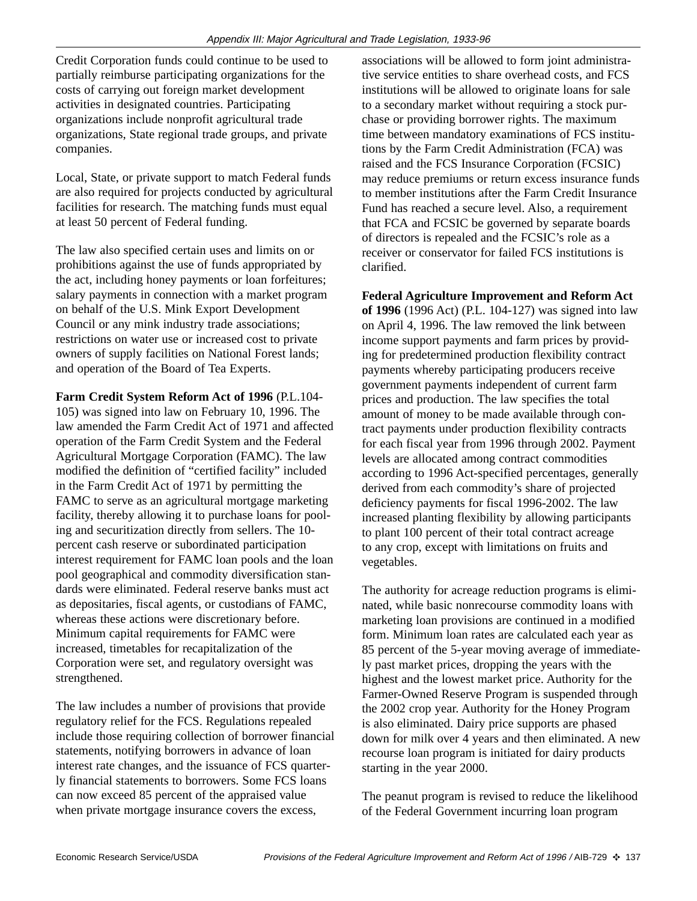Credit Corporation funds could continue to be used to partially reimburse participating organizations for the costs of carrying out foreign market development activities in designated countries. Participating organizations include nonprofit agricultural trade organizations, State regional trade groups, and private companies.

Local, State, or private support to match Federal funds are also required for projects conducted by agricultural facilities for research. The matching funds must equal at least 50 percent of Federal funding.

The law also specified certain uses and limits on or prohibitions against the use of funds appropriated by the act, including honey payments or loan forfeitures; salary payments in connection with a market program on behalf of the U.S. Mink Export Development Council or any mink industry trade associations; restrictions on water use or increased cost to private owners of supply facilities on National Forest lands; and operation of the Board of Tea Experts.

**Farm Credit System Reform Act of 1996** (P.L.104- 105) was signed into law on February 10, 1996. The law amended the Farm Credit Act of 1971 and affected operation of the Farm Credit System and the Federal Agricultural Mortgage Corporation (FAMC). The law modified the definition of "certified facility" included in the Farm Credit Act of 1971 by permitting the FAMC to serve as an agricultural mortgage marketing facility, thereby allowing it to purchase loans for pooling and securitization directly from sellers. The 10 percent cash reserve or subordinated participation interest requirement for FAMC loan pools and the loan pool geographical and commodity diversification standards were eliminated. Federal reserve banks must act as depositaries, fiscal agents, or custodians of FAMC, whereas these actions were discretionary before. Minimum capital requirements for FAMC were increased, timetables for recapitalization of the Corporation were set, and regulatory oversight was strengthened.

The law includes a number of provisions that provide regulatory relief for the FCS. Regulations repealed include those requiring collection of borrower financial statements, notifying borrowers in advance of loan interest rate changes, and the issuance of FCS quarterly financial statements to borrowers. Some FCS loans can now exceed 85 percent of the appraised value when private mortgage insurance covers the excess,

associations will be allowed to form joint administrative service entities to share overhead costs, and FCS institutions will be allowed to originate loans for sale to a secondary market without requiring a stock purchase or providing borrower rights. The maximum time between mandatory examinations of FCS institutions by the Farm Credit Administration (FCA) was raised and the FCS Insurance Corporation (FCSIC) may reduce premiums or return excess insurance funds to member institutions after the Farm Credit Insurance Fund has reached a secure level. Also, a requirement that FCA and FCSIC be governed by separate boards of directors is repealed and the FCSIC's role as a receiver or conservator for failed FCS institutions is clarified.

**Federal Agriculture Improvement and Reform Act of 1996** (1996 Act) (P.L. 104-127) was signed into law on April 4, 1996. The law removed the link between income support payments and farm prices by providing for predetermined production flexibility contract payments whereby participating producers receive government payments independent of current farm prices and production. The law specifies the total amount of money to be made available through contract payments under production flexibility contracts for each fiscal year from 1996 through 2002. Payment levels are allocated among contract commodities according to 1996 Act-specified percentages, generally derived from each commodity's share of projected deficiency payments for fiscal 1996-2002. The law increased planting flexibility by allowing participants to plant 100 percent of their total contract acreage to any crop, except with limitations on fruits and vegetables.

The authority for acreage reduction programs is eliminated, while basic nonrecourse commodity loans with marketing loan provisions are continued in a modified form. Minimum loan rates are calculated each year as 85 percent of the 5-year moving average of immediately past market prices, dropping the years with the highest and the lowest market price. Authority for the Farmer-Owned Reserve Program is suspended through the 2002 crop year. Authority for the Honey Program is also eliminated. Dairy price supports are phased down for milk over 4 years and then eliminated. A new recourse loan program is initiated for dairy products starting in the year 2000.

The peanut program is revised to reduce the likelihood of the Federal Government incurring loan program